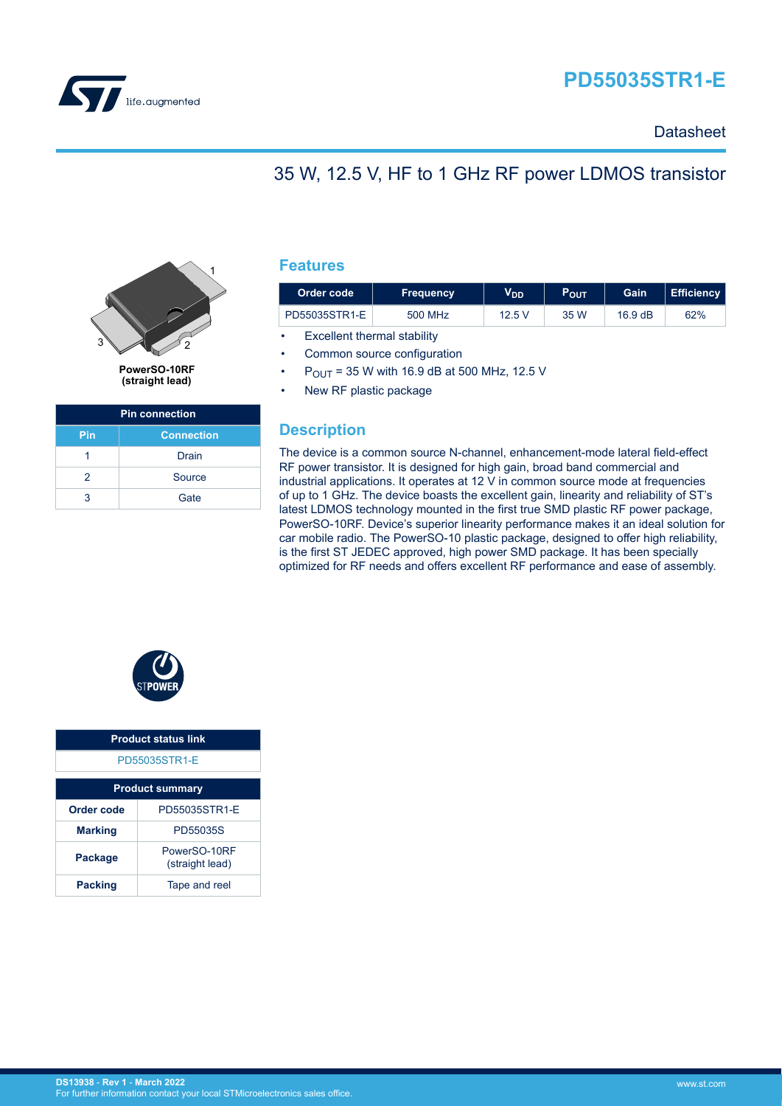

# **PD55035STR1-E**

### **Datasheet**

### 35 W, 12.5 V, HF to 1 GHz RF power LDMOS transistor



**PowerSO-10RF (straight lead)**

| <b>Pin connection</b> |                   |  |
|-----------------------|-------------------|--|
| Pin                   | <b>Connection</b> |  |
|                       | Drain             |  |
| 2                     | Source            |  |
| 3                     | Gate              |  |

### **Features**

| Order code    | <b>Frequency</b> | $V_{DD}$ | POUT | Gain              | Efficiency |
|---------------|------------------|----------|------|-------------------|------------|
| PD55035STR1-E | 500 MHz          | 12.5 V   | 35 W | $16.9 \text{ dB}$ | 62%        |

**Excellent thermal stability** 

Common source configuration

 $P_{\text{OUT}}$  = 35 W with 16.9 dB at 500 MHz, 12.5 V

New RF plastic package

### **Description**

The device is a common source N-channel, enhancement-mode lateral field-effect RF power transistor. It is designed for high gain, broad band commercial and industrial applications. It operates at 12 V in common source mode at frequencies of up to 1 GHz. The device boasts the excellent gain, linearity and reliability of ST's latest LDMOS technology mounted in the first true SMD plastic RF power package, PowerSO-10RF. Device's superior linearity performance makes it an ideal solution for car mobile radio. The PowerSO-10 plastic package, designed to offer high reliability, is the first ST JEDEC approved, high power SMD package. It has been specially optimized for RF needs and offers excellent RF performance and ease of assembly.



| <b>Product status link</b> |                                 |  |
|----------------------------|---------------------------------|--|
| PD55035STR1-F              |                                 |  |
| <b>Product summary</b>     |                                 |  |
| Order code                 | PD55035STR1-F                   |  |
| <b>Marking</b>             | PD55035S                        |  |
| Package                    | PowerSO-10RF<br>(straight lead) |  |
| <b>Packing</b>             | Tape and reel                   |  |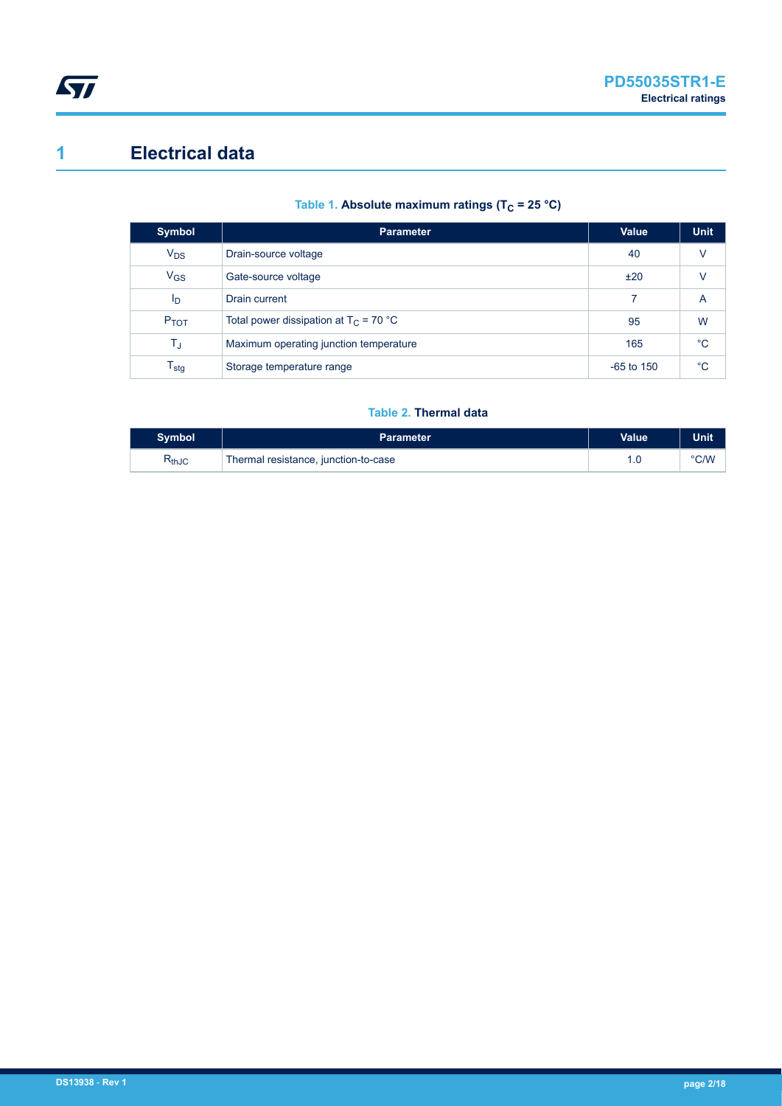<span id="page-1-0"></span>

### **1 Electrical data**

### Table 1. Absolute maximum ratings (T<sub>C</sub> = 25 °C)

| Symbol                      | <b>Parameter</b>                         | Value        | <b>Unit</b>  |
|-----------------------------|------------------------------------------|--------------|--------------|
| $V_{DS}$                    | Drain-source voltage                     | 40           | v            |
| $V_{GS}$                    | Gate-source voltage                      | ±20          | v            |
| Ip                          | Drain current                            | 7            | A            |
| P <sub>TOT</sub>            | Total power dissipation at $T_C = 70 °C$ | 95           | W            |
| $\mathsf{T}_\mathrm{J}$     | Maximum operating junction temperature   | 165          | $^{\circ}$ C |
| $\mathsf{T}_{\textsf{stg}}$ | Storage temperature range                | $-65$ to 150 | $^{\circ}C$  |

#### **Table 2. Thermal data**

| Svmbol     | <b>Parameter</b>                     | <b>Value</b> | <b>Unit</b> |
|------------|--------------------------------------|--------------|-------------|
| $R_{thJC}$ | Thermal resistance, junction-to-case | 1.U          | °C/W        |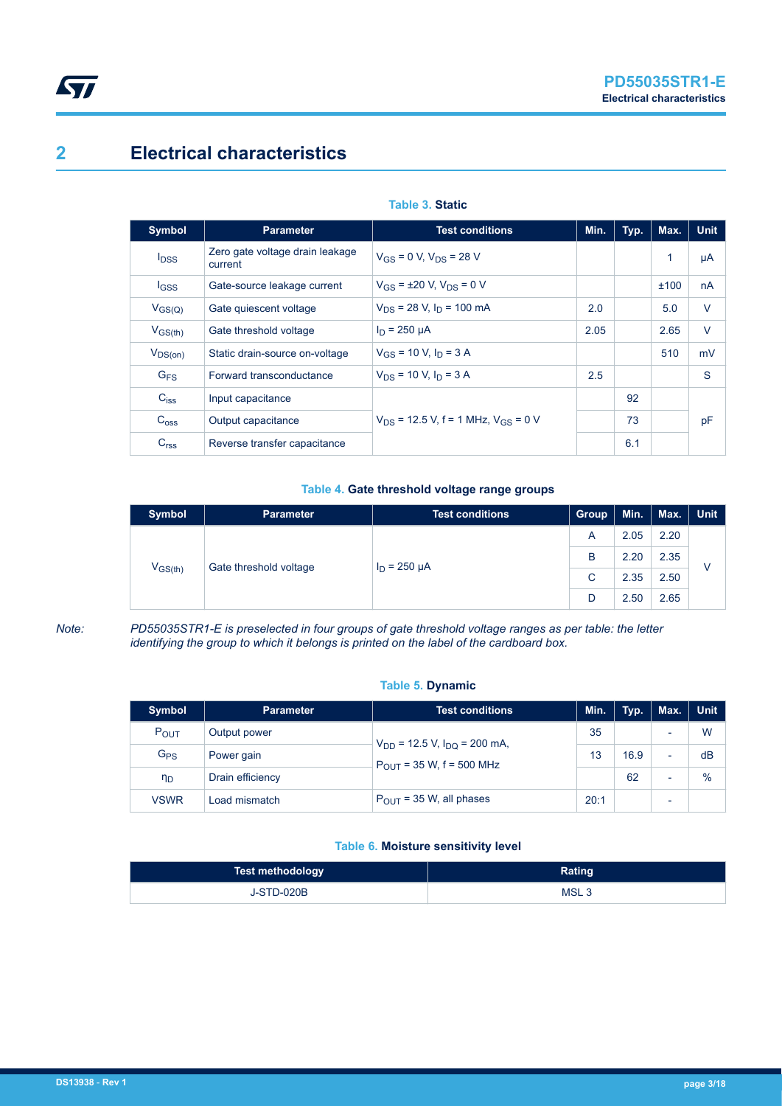# **2 Electrical characteristics**

| <b>Symbol</b>    | <b>Parameter</b>                           | <b>Test conditions</b>                       | Min. | Typ. | Max. | <b>Unit</b> |
|------------------|--------------------------------------------|----------------------------------------------|------|------|------|-------------|
| $I_{DSS}$        | Zero gate voltage drain leakage<br>current | $V_{GS}$ = 0 V, $V_{DS}$ = 28 V              |      |      | 1    | μA          |
| $I_{GSS}$        | Gate-source leakage current                | $V_{GS}$ = ±20 V, $V_{DS}$ = 0 V             |      |      | ±100 | nA          |
| $V_{GS(Q)}$      | Gate quiescent voltage                     | $V_{DS}$ = 28 V, $I_D$ = 100 mA              | 2.0  |      | 5.0  | V           |
| $V_{GS(th)}$     | Gate threshold voltage                     | $I_D = 250 \mu A$                            | 2.05 |      | 2.65 | $\vee$      |
| $V_{DS(on)}$     | Static drain-source on-voltage             | $V_{GS}$ = 10 V, $I_D$ = 3 A                 |      |      | 510  | mV          |
| G <sub>FS</sub>  | Forward transconductance                   | $V_{DS}$ = 10 V, $I_D$ = 3 A                 | 2.5  |      |      | S           |
| $C_{iss}$        | Input capacitance                          |                                              |      | 92   |      |             |
| $C_{\text{oss}}$ | Output capacitance                         | $V_{DS}$ = 12.5 V, f = 1 MHz, $V_{GS}$ = 0 V |      | 73   |      | pF          |
| C <sub>rss</sub> | Reverse transfer capacitance               |                                              |      | 6.1  |      |             |

#### **Table 3. Static**

#### **Table 4. Gate threshold voltage range groups**

| <b>Symbol</b>                          | <b>Parameter</b>  | <b>Test conditions</b> | <b>Group</b> | Min. | Max. | Unit |
|----------------------------------------|-------------------|------------------------|--------------|------|------|------|
| $V_{GS(th)}$<br>Gate threshold voltage | $I_D = 250 \mu A$ | A                      | 2.05         | 2.20 |      |      |
|                                        |                   | B                      | 2.20         | 2.35 | v    |      |
|                                        |                   | C                      | 2.35         | 2.50 |      |      |
|                                        |                   |                        | D            | 2.50 | 2.65 |      |

<span id="page-2-0"></span>ST

*Note: PD55035STR1-E is preselected in four groups of gate threshold voltage ranges as per table: the letter identifying the group to which it belongs is printed on the label of the cardboard box.*

#### **Table 5. Dynamic**

| <b>Symbol</b>    | <b>Parameter</b> | <b>Test conditions</b>                                                 | Min. | Typ. | Max. | <b>Unit</b> |
|------------------|------------------|------------------------------------------------------------------------|------|------|------|-------------|
| $P_{\text{OUT}}$ | Output power     | $V_{DD}$ = 12.5 V, $I_{DD}$ = 200 mA,<br>$P_{OUT}$ = 35 W, f = 500 MHz | 35   |      |      | W           |
| G <sub>PS</sub>  | Power gain       |                                                                        | 13   | 16.9 | ٠    | dB          |
| $n_{D}$          | Drain efficiency |                                                                        |      | 62   |      | $\%$        |
| <b>VSWR</b>      | Load mismatch    | $P_{OUT}$ = 35 W, all phases                                           | 20:1 |      |      |             |

#### **Table 6. Moisture sensitivity level**

| Test methodology  | Rating           |
|-------------------|------------------|
| <b>J-STD-020B</b> | MSL <sub>3</sub> |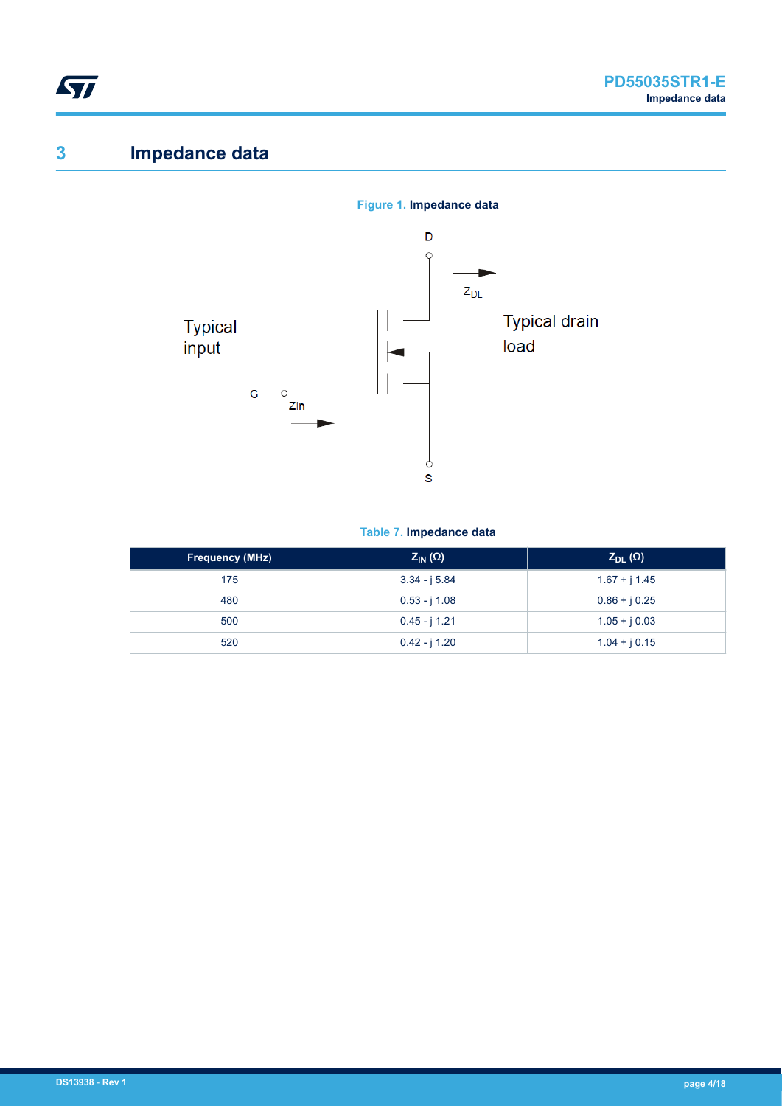<span id="page-3-0"></span>

# **3 Impedance data**



#### **Table 7. Impedance data**

| <b>Frequency (MHz)</b> | $Z_{IN}(\Omega)$ | $Z_{DL}(\Omega)$ |
|------------------------|------------------|------------------|
| 175                    | $3.34 - j 5.84$  | $1.67 + j 1.45$  |
| 480                    | $0.53 - j 1.08$  | $0.86 + j 0.25$  |
| 500                    | $0.45 - j 1.21$  | $1.05 + j 0.03$  |
| 520                    | $0.42 - j 1.20$  | $1.04 + j 0.15$  |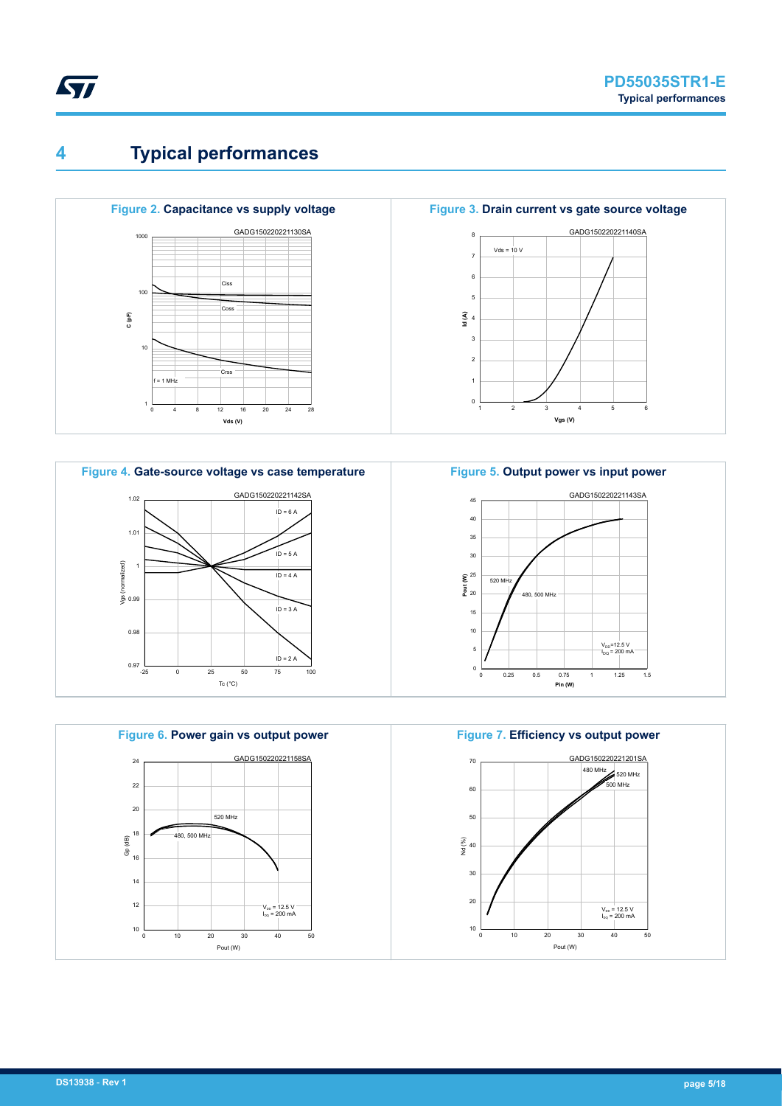# **4 Typical performances**

<span id="page-4-0"></span>ST









 $\overline{10}$ 15 20 **Pout (W)**  $\sum_{n=1}^{\infty}$ 30 35 40 45 520 MHz 480, 500 MHz GADG150220221143SA



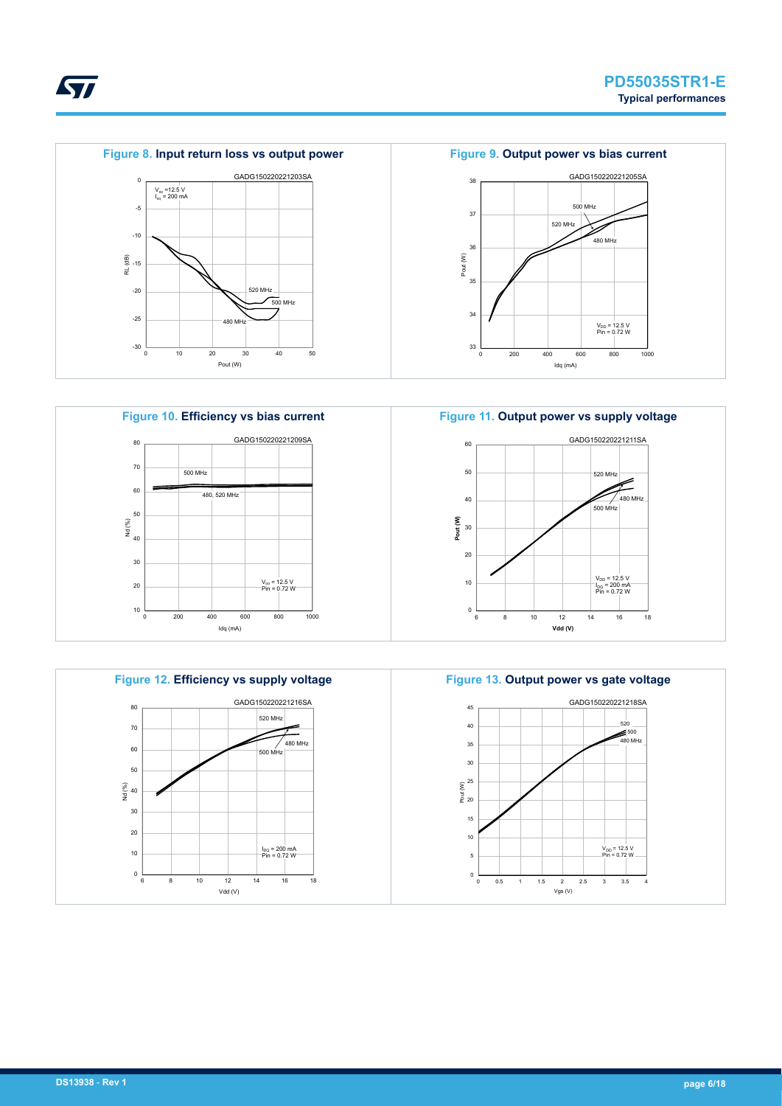



ST









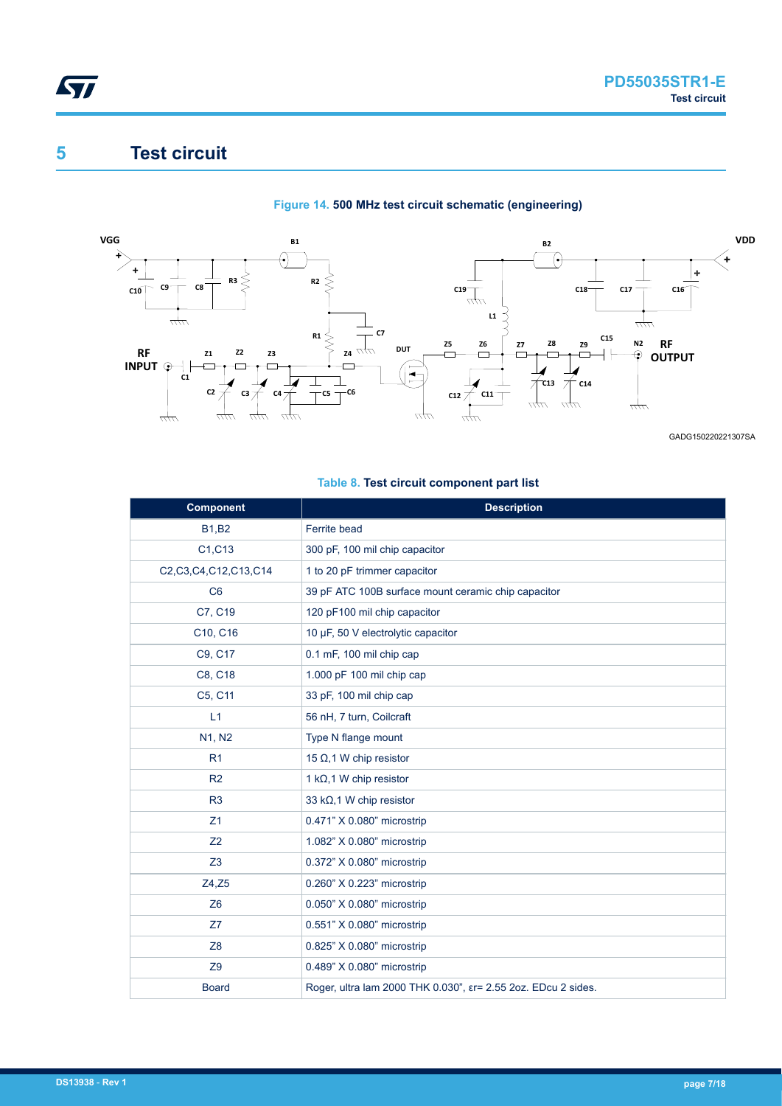# **5 Test circuit**

<span id="page-6-0"></span>**STI** 

#### **Figure 14. 500 MHz test circuit schematic (engineering)**



GADG150220221307SA

### **Table 8. Test circuit component part list**

| <b>Component</b>     | <b>Description</b>                                                      |
|----------------------|-------------------------------------------------------------------------|
| <b>B1,B2</b>         | Ferrite bead                                                            |
| C1, C13              | 300 pF, 100 mil chip capacitor                                          |
| C2,C3,C4,C12,C13,C14 | 1 to 20 pF trimmer capacitor                                            |
| C <sub>6</sub>       | 39 pF ATC 100B surface mount ceramic chip capacitor                     |
| C7, C19              | 120 pF100 mil chip capacitor                                            |
| C10, C16             | 10 µF, 50 V electrolytic capacitor                                      |
| C9, C17              | 0.1 mF, 100 mil chip cap                                                |
| C8, C18              | 1.000 pF 100 mil chip cap                                               |
| C5, C11              | 33 pF, 100 mil chip cap                                                 |
| L1                   | 56 nH, 7 turn, Coilcraft                                                |
| N1, N2               | Type N flange mount                                                     |
| R <sub>1</sub>       | 15 $\Omega$ , 1 W chip resistor                                         |
| R <sub>2</sub>       | 1 k $\Omega$ , 1 W chip resistor                                        |
| R3                   | 33 kΩ, 1 W chip resistor                                                |
| Z1                   | 0.471" X 0.080" microstrip                                              |
| Z <sub>2</sub>       | 1.082" X 0.080" microstrip                                              |
| Z <sub>3</sub>       | 0.372" X 0.080" microstrip                                              |
| Z4, Z5               | 0.260" X 0.223" microstrip                                              |
| Z6                   | 0.050" X 0.080" microstrip                                              |
| Z7                   | 0.551" X 0.080" microstrip                                              |
| Z <sub>8</sub>       | 0.825" X 0.080" microstrip                                              |
| Z9                   | 0.489" X 0.080" microstrip                                              |
| <b>Board</b>         | Roger, ultra lam 2000 THK 0.030", $\epsilon$ r= 2.55 2oz. EDcu 2 sides. |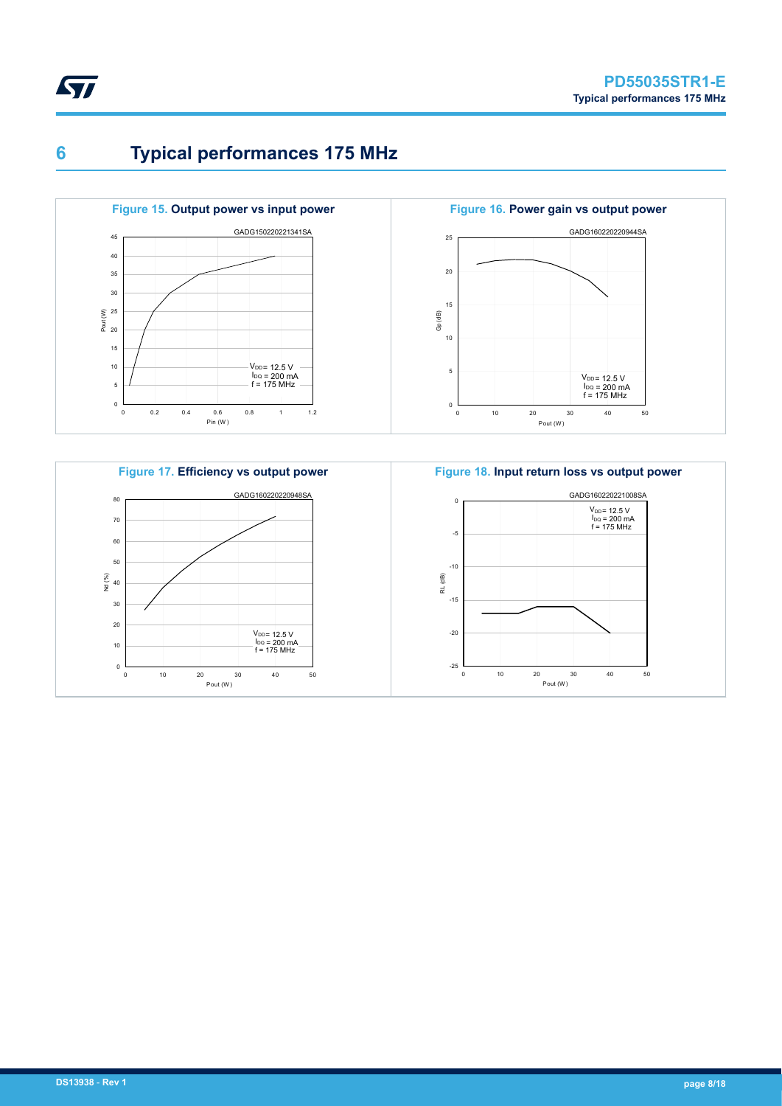

<span id="page-7-0"></span>ST







**Figure 18. Input return loss vs output power** GADG160220221008SA  $-25$ -20 -15 -10 -5 0 0 10 20 30 40 50 Pout (W ) RL (dB)  $V_{DD} = 12.5 V$ <br> $I_{DQ} = 200 mA$ <br> $f = 175 MHz$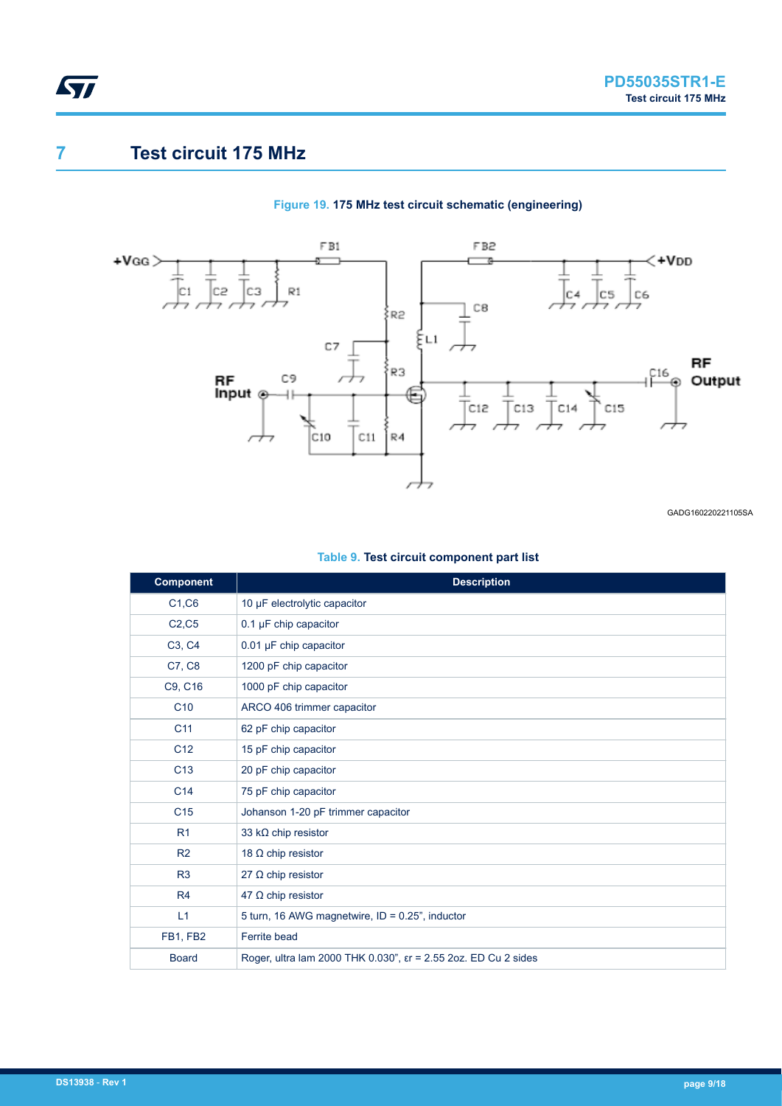### **7 Test circuit 175 MHz**

<span id="page-8-0"></span>ST

#### **Figure 19. 175 MHz test circuit schematic (engineering)**



GADG160220221105SA

#### **Table 9. Test circuit component part list**

| <b>Component</b> | <b>Description</b>                                                       |
|------------------|--------------------------------------------------------------------------|
| C1, C6           | 10 µF electrolytic capacitor                                             |
| C2, C5           | $0.1 \mu$ F chip capacitor                                               |
| C3, C4           | $0.01 \mu F$ chip capacitor                                              |
| C7, C8           | 1200 pF chip capacitor                                                   |
| C9, C16          | 1000 pF chip capacitor                                                   |
| C <sub>10</sub>  | ARCO 406 trimmer capacitor                                               |
| C <sub>11</sub>  | 62 pF chip capacitor                                                     |
| C <sub>12</sub>  | 15 pF chip capacitor                                                     |
| C <sub>13</sub>  | 20 pF chip capacitor                                                     |
| C <sub>14</sub>  | 75 pF chip capacitor                                                     |
| C <sub>15</sub>  | Johanson 1-20 pF trimmer capacitor                                       |
| R <sub>1</sub>   | 33 kΩ chip resistor                                                      |
| R <sub>2</sub>   | 18 $\Omega$ chip resistor                                                |
| R3               | 27 $\Omega$ chip resistor                                                |
| R4               | 47 $\Omega$ chip resistor                                                |
| L1               | 5 turn, 16 AWG magnetwire, ID = 0.25", inductor                          |
| FB1, FB2         | Ferrite bead                                                             |
| <b>Board</b>     | Roger, ultra lam 2000 THK 0.030", $\epsilon$ r = 2.55 2oz. ED Cu 2 sides |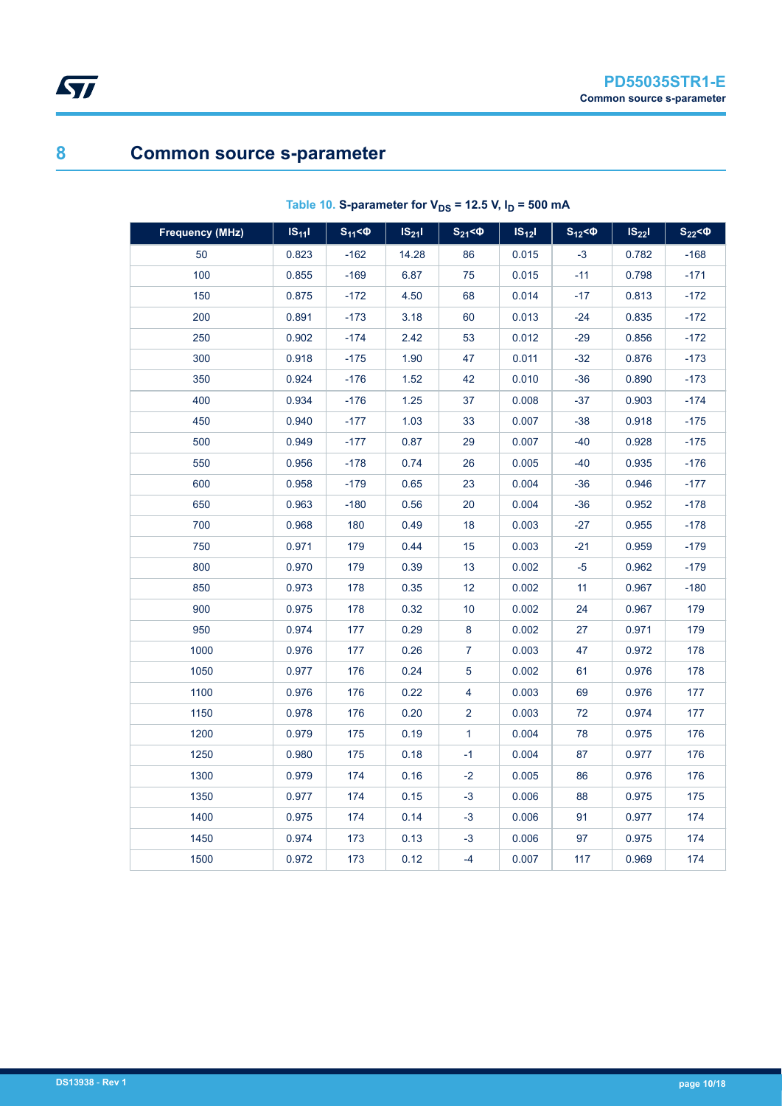# **Common source s-parameter**

<span id="page-9-0"></span> $\sqrt{2}$ 

| <b>Frequency (MHz)</b> | $IS_{11}$ | $S_{11} < \Phi$ | $IS_{21}I$ | $S_{21} < \Phi$ | $IS_{12}$ | $S_{12}$ < $\Phi$ | $IS_{22}$ | $S_{22}$ < $\Phi$ |
|------------------------|-----------|-----------------|------------|-----------------|-----------|-------------------|-----------|-------------------|
| 50                     | 0.823     | $-162$          | 14.28      | 86              | 0.015     | $-3$              | 0.782     | $-168$            |
| 100                    | 0.855     | $-169$          | 6.87       | 75              | 0.015     | $-11$             | 0.798     | $-171$            |
| 150                    | 0.875     | $-172$          | 4.50       | 68              | 0.014     | $-17$             | 0.813     | $-172$            |
| 200                    | 0.891     | $-173$          | 3.18       | 60              | 0.013     | $-24$             | 0.835     | $-172$            |
| 250                    | 0.902     | -174            | 2.42       | 53              | 0.012     | $-29$             | 0.856     | $-172$            |
| 300                    | 0.918     | -175            | 1.90       | 47              | 0.011     | $-32$             | 0.876     | $-173$            |
| 350                    | 0.924     | $-176$          | 1.52       | 42              | 0.010     | $-36$             | 0.890     | $-173$            |
| 400                    | 0.934     | -176            | 1.25       | 37              | 0.008     | $-37$             | 0.903     | $-174$            |
| 450                    | 0.940     | $-177$          | 1.03       | 33              | 0.007     | $-38$             | 0.918     | $-175$            |
| 500                    | 0.949     | $-177$          | 0.87       | 29              | 0.007     | $-40$             | 0.928     | $-175$            |
| 550                    | 0.956     | $-178$          | 0.74       | 26              | 0.005     | $-40$             | 0.935     | $-176$            |
| 600                    | 0.958     | -179            | 0.65       | 23              | 0.004     | $-36$             | 0.946     | -177              |
| 650                    | 0.963     | $-180$          | 0.56       | 20              | 0.004     | $-36$             | 0.952     | -178              |
| 700                    | 0.968     | 180             | 0.49       | 18              | 0.003     | $-27$             | 0.955     | -178              |
| 750                    | 0.971     | 179             | 0.44       | 15              | 0.003     | $-21$             | 0.959     | $-179$            |
| 800                    | 0.970     | 179             | 0.39       | 13              | 0.002     | $-5$              | 0.962     | $-179$            |
| 850                    | 0.973     | 178             | 0.35       | 12              | 0.002     | 11                | 0.967     | $-180$            |
| 900                    | 0.975     | 178             | 0.32       | 10              | 0.002     | 24                | 0.967     | 179               |
| 950                    | 0.974     | 177             | 0.29       | 8               | 0.002     | 27                | 0.971     | 179               |
| 1000                   | 0.976     | 177             | 0.26       | $\overline{7}$  | 0.003     | 47                | 0.972     | 178               |
| 1050                   | 0.977     | 176             | 0.24       | 5               | 0.002     | 61                | 0.976     | 178               |
| 1100                   | 0.976     | 176             | 0.22       | 4               | 0.003     | 69                | 0.976     | 177               |
| 1150                   | 0.978     | 176             | 0.20       | $\overline{2}$  | 0.003     | 72                | 0.974     | 177               |
| 1200                   | 0.979     | 175             | 0.19       | $\mathbf{1}$    | 0.004     | 78                | 0.975     | 176               |
| 1250                   | 0.980     | 175             | 0.18       | $-1$            | 0.004     | 87                | 0.977     | 176               |
| 1300                   | 0.979     | 174             | 0.16       | $-2$            | 0.005     | 86                | 0.976     | 176               |
| 1350                   | 0.977     | 174             | 0.15       | $-3$            | 0.006     | 88                | 0.975     | 175               |
| 1400                   | 0.975     | 174             | 0.14       | $-3$            | 0.006     | 91                | 0.977     | 174               |
| 1450                   | 0.974     | 173             | 0.13       | $-3$            | 0.006     | 97                | 0.975     | 174               |
| 1500                   | 0.972     | 173             | 0.12       | -4              | 0.007     | 117               | 0.969     | 174               |

### Table 10. S-parameter for  $V_{DS}$  = 12.5 V,  $I_D$  = 500 mA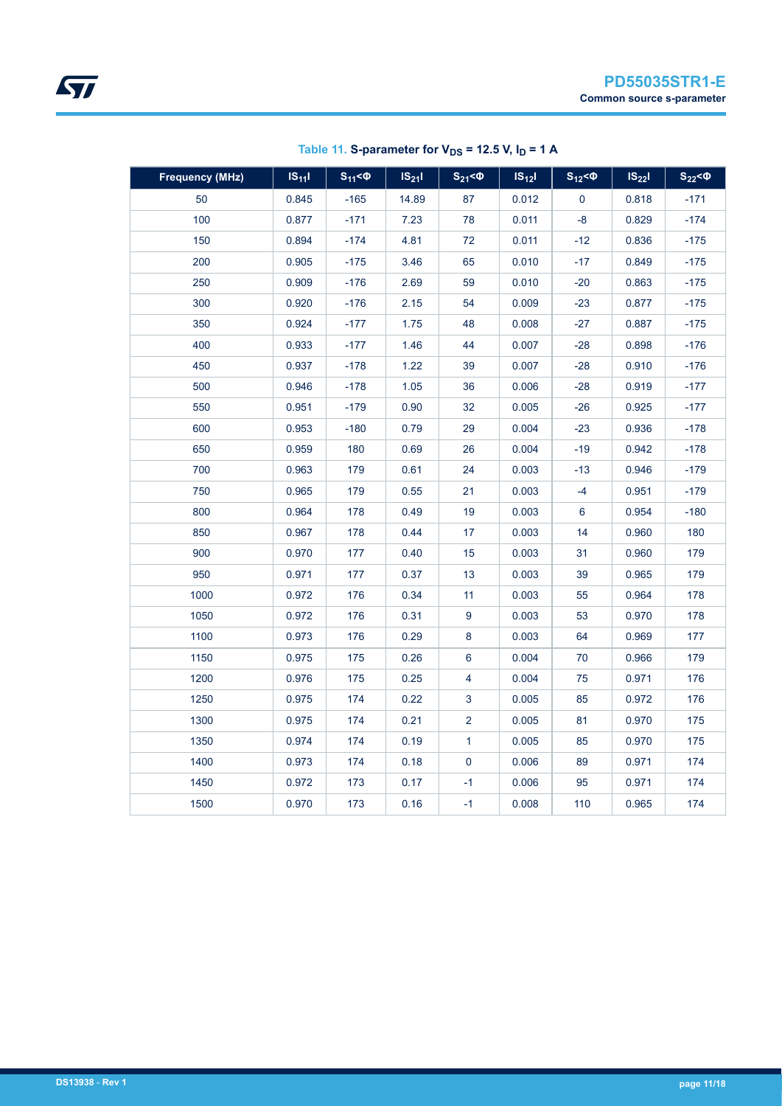| <b>Frequency (MHz)</b> | $IS_{11}$ | $S_{11} < \Phi$ | $IS_{21}I$ | $S_{21} < \Phi$ | $IS_{12}I$ | $S_{12}$ < $\Phi$ | $IS_{22}$ | $S_{22}$ < $\Phi$ |
|------------------------|-----------|-----------------|------------|-----------------|------------|-------------------|-----------|-------------------|
| 50                     | 0.845     | $-165$          | 14.89      | 87              | 0.012      | $\mathbf 0$       | 0.818     | $-171$            |
| 100                    | 0.877     | $-171$          | 7.23       | 78              | 0.011      | $-8$              | 0.829     | $-174$            |
| 150                    | 0.894     | $-174$          | 4.81       | 72              | 0.011      | $-12$             | 0.836     | $-175$            |
| 200                    | 0.905     | $-175$          | 3.46       | 65              | 0.010      | $-17$             | 0.849     | $-175$            |
| 250                    | 0.909     | $-176$          | 2.69       | 59              | 0.010      | $-20$             | 0.863     | $-175$            |
| 300                    | 0.920     | $-176$          | 2.15       | 54              | 0.009      | $-23$             | 0.877     | $-175$            |
| 350                    | 0.924     | $-177$          | 1.75       | 48              | 0.008      | $-27$             | 0.887     | $-175$            |
| 400                    | 0.933     | $-177$          | 1.46       | 44              | 0.007      | $-28$             | 0.898     | $-176$            |
| 450                    | 0.937     | $-178$          | 1.22       | 39              | 0.007      | $-28$             | 0.910     | $-176$            |
| 500                    | 0.946     | $-178$          | 1.05       | 36              | 0.006      | $-28$             | 0.919     | $-177$            |
| 550                    | 0.951     | $-179$          | 0.90       | 32              | 0.005      | $-26$             | 0.925     | $-177$            |
| 600                    | 0.953     | $-180$          | 0.79       | 29              | 0.004      | $-23$             | 0.936     | $-178$            |
| 650                    | 0.959     | 180             | 0.69       | 26              | 0.004      | $-19$             | 0.942     | $-178$            |
| 700                    | 0.963     | 179             | 0.61       | 24              | 0.003      | $-13$             | 0.946     | $-179$            |
| 750                    | 0.965     | 179             | 0.55       | 21              | 0.003      | $-4$              | 0.951     | $-179$            |
| 800                    | 0.964     | 178             | 0.49       | 19              | 0.003      | 6                 | 0.954     | $-180$            |
| 850                    | 0.967     | 178             | 0.44       | 17              | 0.003      | 14                | 0.960     | 180               |
| 900                    | 0.970     | 177             | 0.40       | 15              | 0.003      | 31                | 0.960     | 179               |
| 950                    | 0.971     | 177             | 0.37       | 13              | 0.003      | 39                | 0.965     | 179               |
| 1000                   | 0.972     | 176             | 0.34       | 11              | 0.003      | 55                | 0.964     | 178               |
| 1050                   | 0.972     | 176             | 0.31       | 9               | 0.003      | 53                | 0.970     | 178               |
| 1100                   | 0.973     | 176             | 0.29       | 8               | 0.003      | 64                | 0.969     | 177               |
| 1150                   | 0.975     | 175             | 0.26       | 6               | 0.004      | 70                | 0.966     | 179               |
| 1200                   | 0.976     | 175             | 0.25       | 4               | 0.004      | 75                | 0.971     | 176               |
| 1250                   | 0.975     | 174             | 0.22       | $\mathbf{3}$    | 0.005      | 85                | 0.972     | 176               |
| 1300                   | 0.975     | 174             | 0.21       | $\overline{2}$  | 0.005      | 81                | 0.970     | 175               |
| 1350                   | 0.974     | 174             | 0.19       | $\mathbf{1}$    | 0.005      | 85                | 0.970     | 175               |
| 1400                   | 0.973     | 174             | 0.18       | 0               | 0.006      | 89                | 0.971     | 174               |
| 1450                   | 0.972     | 173             | 0.17       | $-1$            | 0.006      | 95                | 0.971     | 174               |
| 1500                   | 0.970     | 173             | 0.16       | $-1$            | 0.008      | 110               | 0.965     | 174               |

Table 11. S-parameter for  $V_{DS}$  = 12.5 V,  $I_D$  = 1 A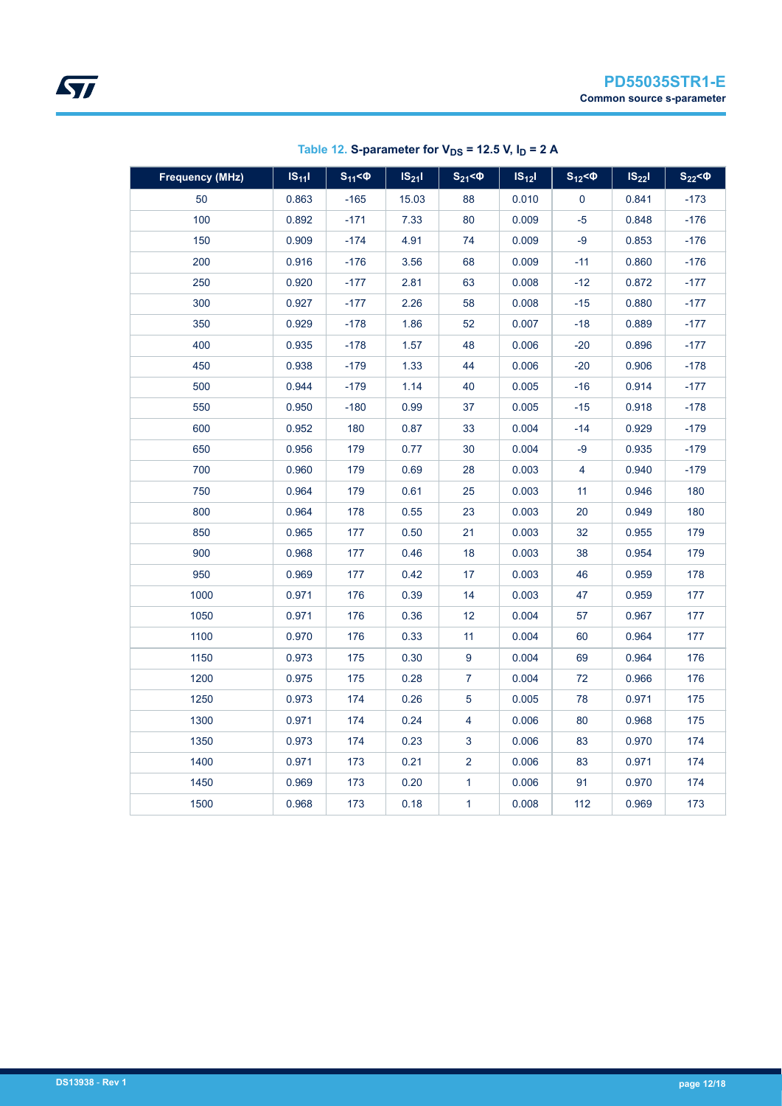| <b>Frequency (MHz)</b> | $IS_{11}$ | $S_{11} < \Phi$ | $IS_{21}$ | $S_{21}$ < $\Phi$ | $IS_{12}$ | $S_{12} < \Phi$ | $IS_{22}$ | $S_{22}$ < $Q$ |
|------------------------|-----------|-----------------|-----------|-------------------|-----------|-----------------|-----------|----------------|
| 50                     | 0.863     | $-165$          | 15.03     | 88                | 0.010     | $\mathbf 0$     | 0.841     | $-173$         |
| 100                    | 0.892     | $-171$          | 7.33      | 80                | 0.009     | $-5$            | 0.848     | $-176$         |
| 150                    | 0.909     | $-174$          | 4.91      | 74                | 0.009     | $-9$            | 0.853     | $-176$         |
| 200                    | 0.916     | $-176$          | 3.56      | 68                | 0.009     | $-11$           | 0.860     | $-176$         |
| 250                    | 0.920     | $-177$          | 2.81      | 63                | 0.008     | $-12$           | 0.872     | $-177$         |
| 300                    | 0.927     | $-177$          | 2.26      | 58                | 0.008     | $-15$           | 0.880     | $-177$         |
| 350                    | 0.929     | $-178$          | 1.86      | 52                | 0.007     | $-18$           | 0.889     | $-177$         |
| 400                    | 0.935     | $-178$          | 1.57      | 48                | 0.006     | $-20$           | 0.896     | $-177$         |
| 450                    | 0.938     | $-179$          | 1.33      | 44                | 0.006     | $-20$           | 0.906     | $-178$         |
| 500                    | 0.944     | $-179$          | 1.14      | 40                | 0.005     | $-16$           | 0.914     | $-177$         |
| 550                    | 0.950     | $-180$          | 0.99      | 37                | 0.005     | $-15$           | 0.918     | $-178$         |
| 600                    | 0.952     | 180             | 0.87      | 33                | 0.004     | $-14$           | 0.929     | $-179$         |
| 650                    | 0.956     | 179             | 0.77      | 30                | 0.004     | -9              | 0.935     | -179           |
| 700                    | 0.960     | 179             | 0.69      | 28                | 0.003     | 4               | 0.940     | $-179$         |
| 750                    | 0.964     | 179             | 0.61      | 25                | 0.003     | 11              | 0.946     | 180            |
| 800                    | 0.964     | 178             | 0.55      | 23                | 0.003     | 20              | 0.949     | 180            |
| 850                    | 0.965     | 177             | 0.50      | 21                | 0.003     | 32              | 0.955     | 179            |
| 900                    | 0.968     | 177             | 0.46      | 18                | 0.003     | 38              | 0.954     | 179            |
| 950                    | 0.969     | 177             | 0.42      | 17                | 0.003     | 46              | 0.959     | 178            |
| 1000                   | 0.971     | 176             | 0.39      | 14                | 0.003     | 47              | 0.959     | 177            |
| 1050                   | 0.971     | 176             | 0.36      | 12                | 0.004     | 57              | 0.967     | 177            |
| 1100                   | 0.970     | 176             | 0.33      | 11                | 0.004     | 60              | 0.964     | 177            |
| 1150                   | 0.973     | 175             | 0.30      | 9                 | 0.004     | 69              | 0.964     | 176            |
| 1200                   | 0.975     | 175             | 0.28      | 7                 | 0.004     | 72              | 0.966     | 176            |
| 1250                   | 0.973     | 174             | 0.26      | $\sqrt{5}$        | 0.005     | 78              | 0.971     | 175            |
| 1300                   | 0.971     | 174             | 0.24      | 4                 | 0.006     | 80              | 0.968     | 175            |
| 1350                   | 0.973     | 174             | 0.23      | 3                 | 0.006     | 83              | 0.970     | 174            |
| 1400                   | 0.971     | 173             | 0.21      | $\overline{c}$    | 0.006     | 83              | 0.971     | 174            |
| 1450                   | 0.969     | 173             | 0.20      | 1                 | 0.006     | 91              | 0.970     | 174            |
| 1500                   | 0.968     | 173             | 0.18      | $\mathbf{1}$      | 0.008     | 112             | 0.969     | 173            |

Table 12. S-parameter for  $V_{DS}$  = 12.5 V,  $I_D$  = 2 A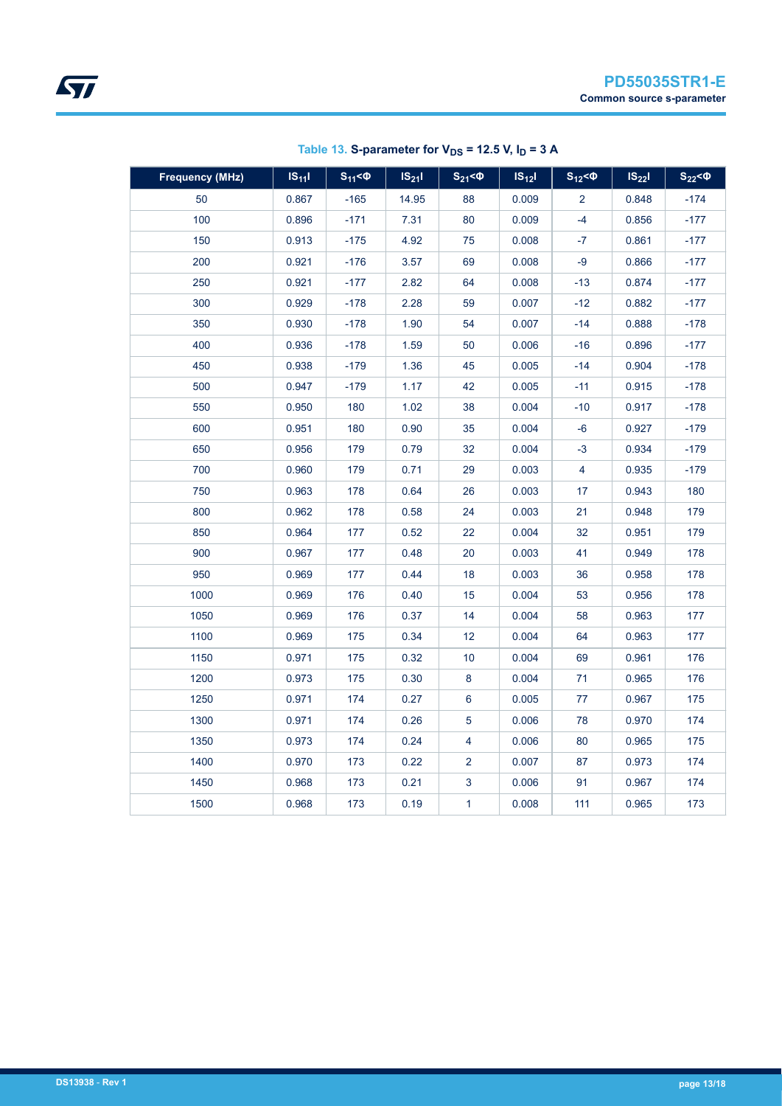| <b>Frequency (MHz)</b> | $IS_{11}$ | $S_{11} < 0$ | $IS_{21}I$ | $S_{21}$ < $\Phi$ | $IS_{12}$ | $S_{12}$ < $\Phi$ | $IS_{22}$ | $S_{22}$ < $\Phi$ |
|------------------------|-----------|--------------|------------|-------------------|-----------|-------------------|-----------|-------------------|
| 50                     | 0.867     | $-165$       | 14.95      | 88                | 0.009     | $\overline{2}$    | 0.848     | $-174$            |
| 100                    | 0.896     | $-171$       | 7.31       | 80                | 0.009     | $-4$              | 0.856     | $-177$            |
| 150                    | 0.913     | $-175$       | 4.92       | 75                | 0.008     | $-7$              | 0.861     | $-177$            |
| 200                    | 0.921     | $-176$       | 3.57       | 69                | 0.008     | $-9$              | 0.866     | $-177$            |
| 250                    | 0.921     | $-177$       | 2.82       | 64                | 0.008     | $-13$             | 0.874     | $-177$            |
| 300                    | 0.929     | $-178$       | 2.28       | 59                | 0.007     | $-12$             | 0.882     | $-177$            |
| 350                    | 0.930     | -178         | 1.90       | 54                | 0.007     | $-14$             | 0.888     | -178              |
| 400                    | 0.936     | $-178$       | 1.59       | 50                | 0.006     | $-16$             | 0.896     | $-177$            |
| 450                    | 0.938     | $-179$       | 1.36       | 45                | 0.005     | $-14$             | 0.904     | $-178$            |
| 500                    | 0.947     | $-179$       | 1.17       | 42                | 0.005     | $-11$             | 0.915     | $-178$            |
| 550                    | 0.950     | 180          | 1.02       | 38                | 0.004     | $-10$             | 0.917     | $-178$            |
| 600                    | 0.951     | 180          | 0.90       | 35                | 0.004     | $-6$              | 0.927     | $-179$            |
| 650                    | 0.956     | 179          | 0.79       | 32                | 0.004     | $-3$              | 0.934     | $-179$            |
| 700                    | 0.960     | 179          | 0.71       | 29                | 0.003     | 4                 | 0.935     | -179              |
| 750                    | 0.963     | 178          | 0.64       | 26                | 0.003     | 17                | 0.943     | 180               |
| 800                    | 0.962     | 178          | 0.58       | 24                | 0.003     | 21                | 0.948     | 179               |
| 850                    | 0.964     | 177          | 0.52       | 22                | 0.004     | 32                | 0.951     | 179               |
| 900                    | 0.967     | 177          | 0.48       | 20                | 0.003     | 41                | 0.949     | 178               |
| 950                    | 0.969     | 177          | 0.44       | 18                | 0.003     | 36                | 0.958     | 178               |
| 1000                   | 0.969     | 176          | 0.40       | 15                | 0.004     | 53                | 0.956     | 178               |
| 1050                   | 0.969     | 176          | 0.37       | 14                | 0.004     | 58                | 0.963     | 177               |
| 1100                   | 0.969     | 175          | 0.34       | 12                | 0.004     | 64                | 0.963     | 177               |
| 1150                   | 0.971     | 175          | 0.32       | 10                | 0.004     | 69                | 0.961     | 176               |
| 1200                   | 0.973     | 175          | 0.30       | 8                 | 0.004     | 71                | 0.965     | 176               |
| 1250                   | 0.971     | 174          | 0.27       | 6                 | 0.005     | 77                | 0.967     | 175               |
| 1300                   | 0.971     | 174          | 0.26       | $\sqrt{5}$        | 0.006     | 78                | 0.970     | 174               |
| 1350                   | 0.973     | 174          | 0.24       | 4                 | 0.006     | 80                | 0.965     | 175               |
| 1400                   | 0.970     | 173          | 0.22       | $\overline{2}$    | 0.007     | 87                | 0.973     | 174               |
| 1450                   | 0.968     | 173          | 0.21       | $\mathbf{3}$      | 0.006     | 91                | 0.967     | 174               |
| 1500                   | 0.968     | 173          | 0.19       | $\mathbf{1}$      | 0.008     | 111               | 0.965     | 173               |

Table 13. S-parameter for  $V_{DS}$  = 12.5 V,  $I_D$  = 3 A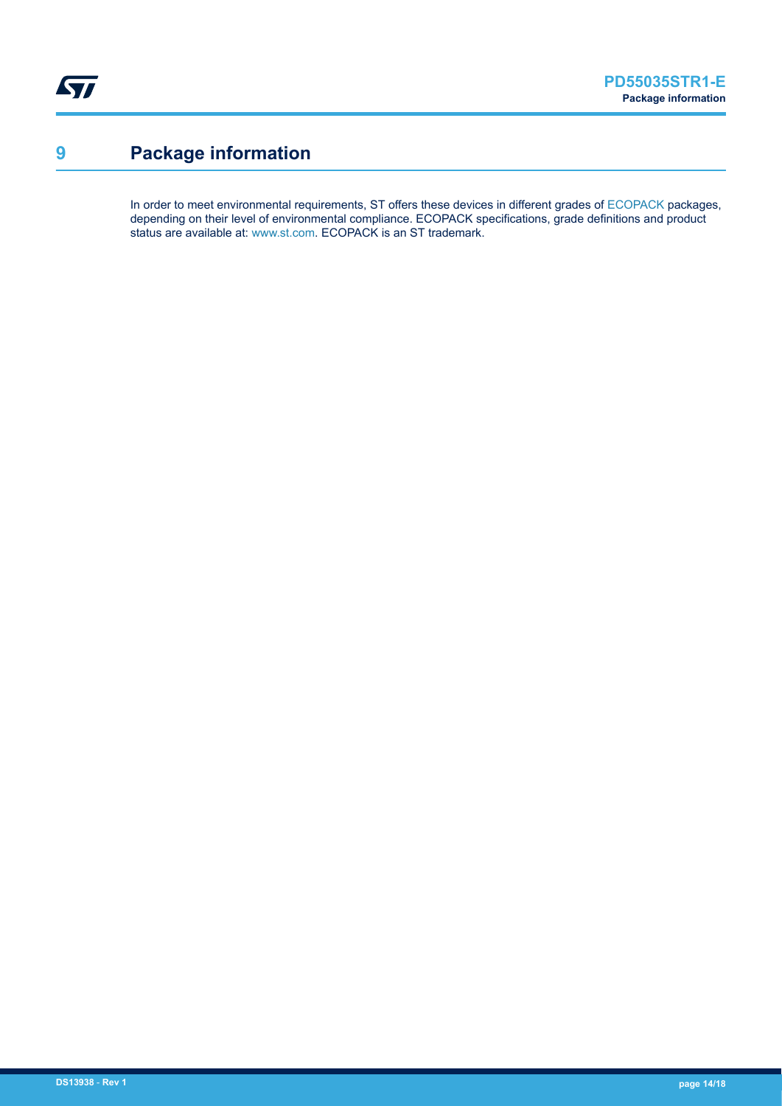<span id="page-13-0"></span>ST

# **9 Package information**

In order to meet environmental requirements, ST offers these devices in different grades of [ECOPACK](https://www.st.com/ecopack) packages, depending on their level of environmental compliance. ECOPACK specifications, grade definitions and product status are available at: [www.st.com.](http://www.st.com) ECOPACK is an ST trademark.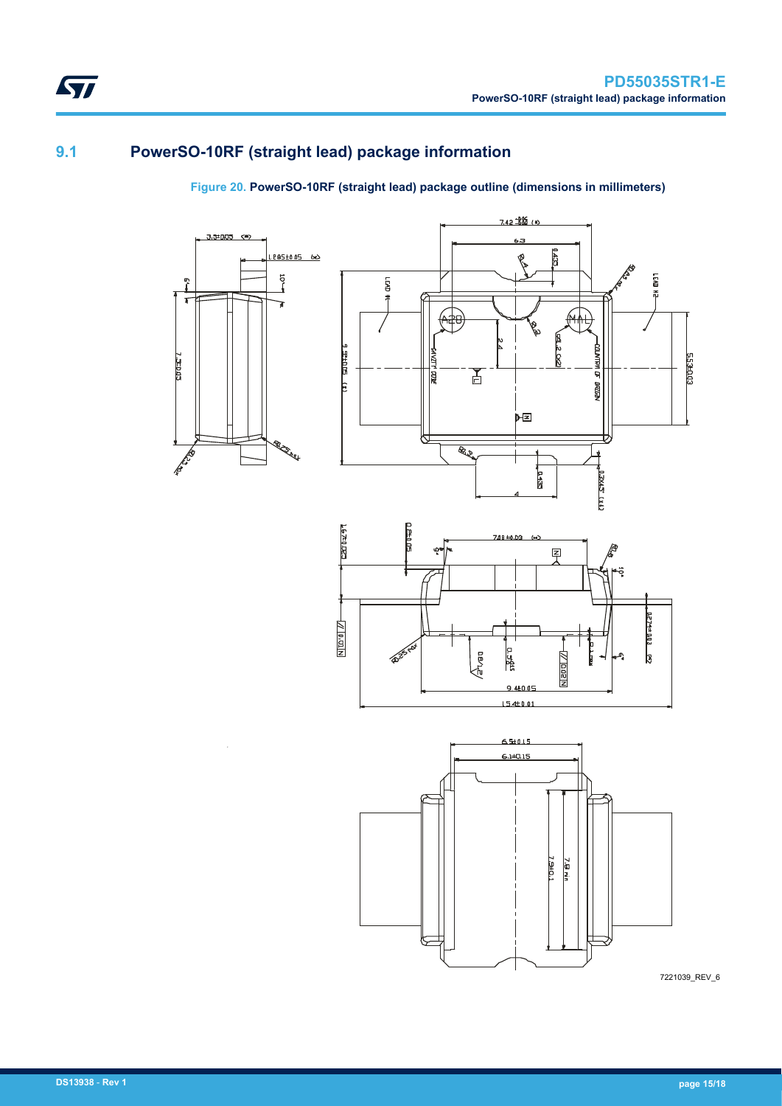### <span id="page-14-0"></span>**9.1 PowerSO-10RF (straight lead) package information**

۹ŗ  $\mathbf{r}$ 

7.320.03

**REPAIR** 

### **Figure 20. PowerSO-10RF (straight lead) package outline (dimensions in millimeters)**







7221039\_REV\_6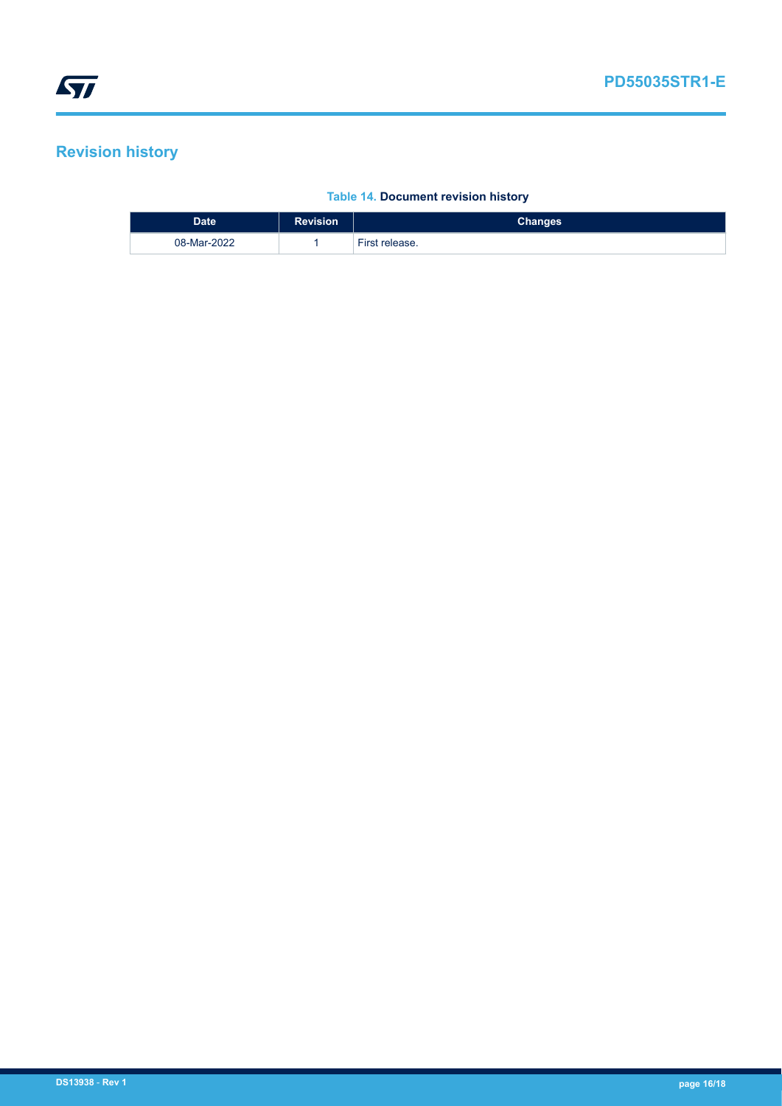# <span id="page-15-0"></span>**Revision history**

#### **Table 14. Document revision history**

| <b>Date</b> | <b>Revision</b> | Changes        |
|-------------|-----------------|----------------|
| 08-Mar-2022 |                 | First release. |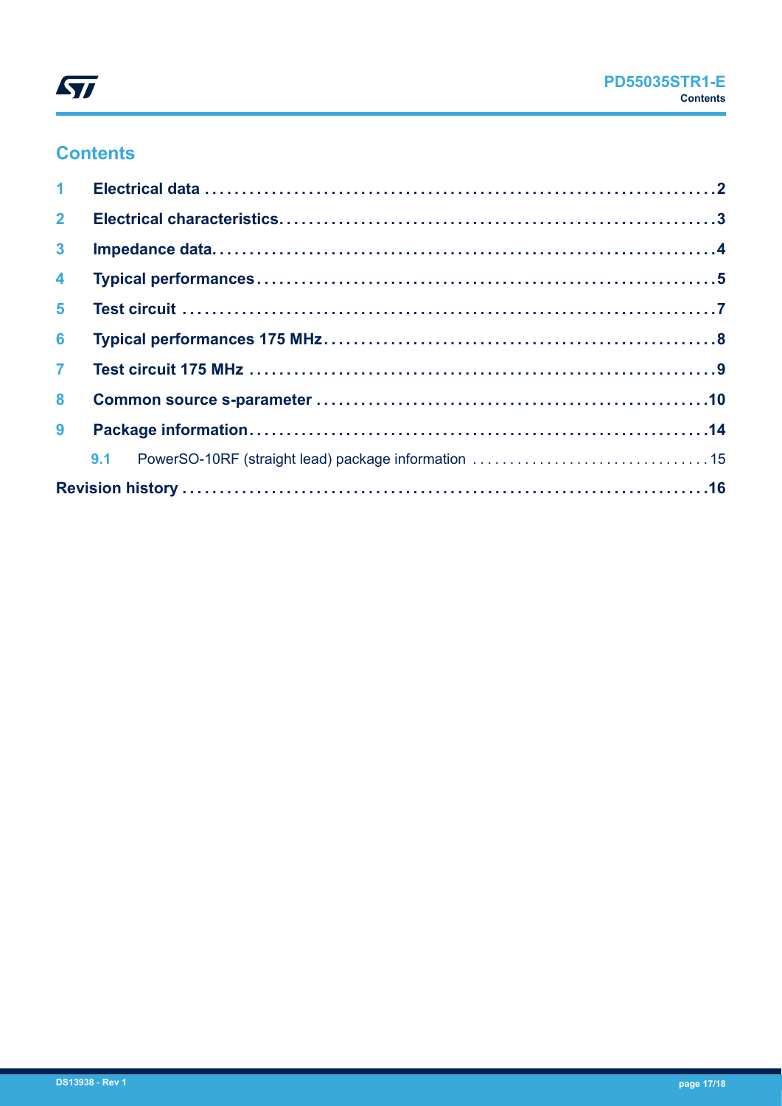

# **Contents**

| 2 <sup>7</sup><br>3 <sup>1</sup><br>$\overline{4}$<br>5 <sup>1</sup><br>6<br>$\overline{7}$<br>$\bf{8}$<br>9 |  |  |
|--------------------------------------------------------------------------------------------------------------|--|--|
|                                                                                                              |  |  |
|                                                                                                              |  |  |
|                                                                                                              |  |  |
|                                                                                                              |  |  |
|                                                                                                              |  |  |
|                                                                                                              |  |  |
|                                                                                                              |  |  |
|                                                                                                              |  |  |
|                                                                                                              |  |  |
|                                                                                                              |  |  |